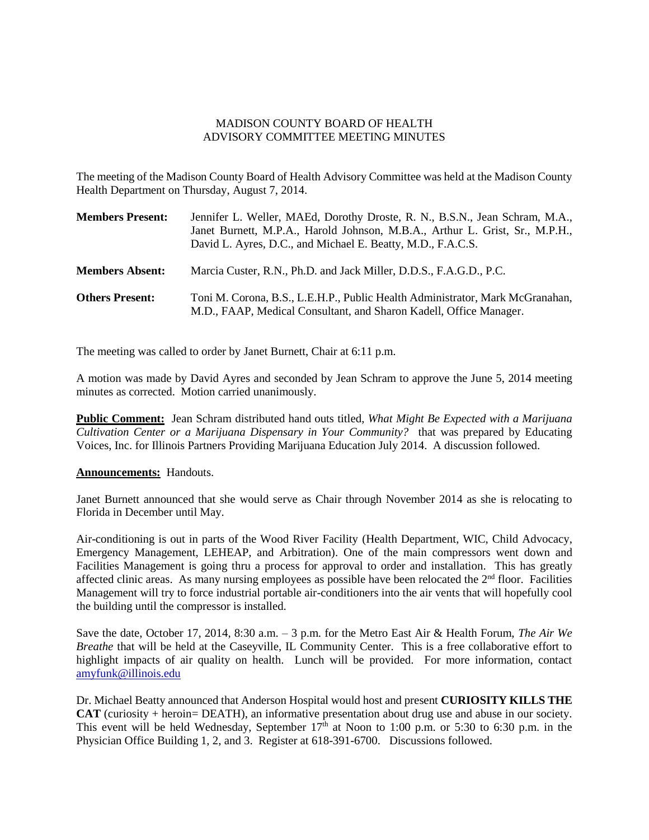## MADISON COUNTY BOARD OF HEALTH ADVISORY COMMITTEE MEETING MINUTES

The meeting of the Madison County Board of Health Advisory Committee was held at the Madison County Health Department on Thursday, August 7, 2014.

| <b>Members Present:</b> | Jennifer L. Weller, MAEd, Dorothy Droste, R. N., B.S.N., Jean Schram, M.A.,<br>Janet Burnett, M.P.A., Harold Johnson, M.B.A., Arthur L. Grist, Sr., M.P.H.,<br>David L. Ayres, D.C., and Michael E. Beatty, M.D., F.A.C.S. |
|-------------------------|----------------------------------------------------------------------------------------------------------------------------------------------------------------------------------------------------------------------------|
| <b>Members Absent:</b>  | Marcia Custer, R.N., Ph.D. and Jack Miller, D.D.S., F.A.G.D., P.C.                                                                                                                                                         |
| <b>Others Present:</b>  | Toni M. Corona, B.S., L.E.H.P., Public Health Administrator, Mark McGranahan,<br>M.D., FAAP, Medical Consultant, and Sharon Kadell, Office Manager.                                                                        |

The meeting was called to order by Janet Burnett, Chair at 6:11 p.m.

A motion was made by David Ayres and seconded by Jean Schram to approve the June 5, 2014 meeting minutes as corrected. Motion carried unanimously.

**Public Comment:** Jean Schram distributed hand outs titled, *What Might Be Expected with a Marijuana Cultivation Center or a Marijuana Dispensary in Your Community?* that was prepared by Educating Voices, Inc. for Illinois Partners Providing Marijuana Education July 2014. A discussion followed.

## **Announcements:** Handouts.

Janet Burnett announced that she would serve as Chair through November 2014 as she is relocating to Florida in December until May.

Air-conditioning is out in parts of the Wood River Facility (Health Department, WIC, Child Advocacy, Emergency Management, LEHEAP, and Arbitration). One of the main compressors went down and Facilities Management is going thru a process for approval to order and installation. This has greatly affected clinic areas. As many nursing employees as possible have been relocated the  $2<sup>nd</sup>$  floor. Facilities Management will try to force industrial portable air-conditioners into the air vents that will hopefully cool the building until the compressor is installed.

Save the date, October 17, 2014, 8:30 a.m. – 3 p.m. for the Metro East Air & Health Forum, *The Air We Breathe* that will be held at the Caseyville, IL Community Center. This is a free collaborative effort to highlight impacts of air quality on health. Lunch will be provided. For more information, contact [amyfunk@illinois.edu](mailto:amyfunk@illinois.edu)

Dr. Michael Beatty announced that Anderson Hospital would host and present **CURIOSITY KILLS THE CAT** (curiosity + heroin= DEATH), an informative presentation about drug use and abuse in our society. This event will be held Wednesday, September  $17<sup>th</sup>$  at Noon to 1:00 p.m. or 5:30 to 6:30 p.m. in the Physician Office Building 1, 2, and 3. Register at 618-391-6700. Discussions followed.